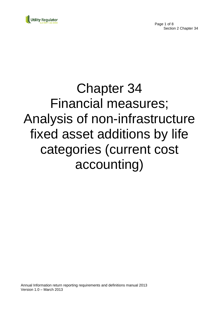

Page 1 of 8 Section 2 Chapter 34

# Chapter 34 Financial measures; Analysis of non-infrastructure fixed asset additions by life categories (current cost accounting)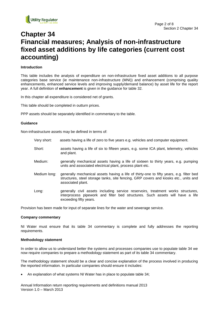

# **Chapter 34 Financial measures; Analysis of non-infrastructure fixed asset additions by life categories (current cost accounting)**

#### **Introduction**

This table includes the analysis of expenditure on non-infrastructure fixed asset additions to all purpose categories base service (ie maintenance non-infrastructure (MNI)) and enhancement (comprising quality enhancements, enhanced service levels and improving supply/demand balance) by asset life for the report year. A full definition of **enhancement** is given in the guidance for table 32.

In this chapter all expenditure is considered net of grants.

This table should be completed in outturn prices.

PPP assets should be separately identified in commentary to the table.

#### **Guidance**

Non-infrastructure assets may be defined in terms of:

- Very short: assets having a life of zero to five years e.g. vehicles and computer equipment.
- Short: assets having a life of six to fifteen years, e.g. some ICA plant, telemetry, vehicles and plant.
- Medium: generally mechanical assets having a life of sixteen to thirty years, e.g. pumping units and associated electrical plant, process plant etc.
- Medium long: generally mechanical assets having a life of thirty-one to fifty years, e.g. filter bed structures, steel storage tanks, site fencing, GRP covers and kiosks etc., units and associated plant.
- Long: generally civil assets including service reservoirs, treatment works structures, interprocess pipework and filter bed structures. Such assets will have a life exceeding fifty years.

Provision has been made for input of separate lines for the water and sewerage service.

#### **Company commentary**

NI Water must ensure that its table 34 commentary is complete and fully addresses the reporting requirements.

#### **Methodology statement**

In order to allow us to understand better the systems and processes companies use to populate table 34 we now require companies to prepare a methodology statement as part of its table 34 commentary.

The methodology statement should be a clear and concise explanation of the process involved in producing the reported information. In particular companies should ensure it includes:

An explanation of what systems NI Water has in place to populate table 34;

Annual Information return reporting requirements and definitions manual 2013 Version 1.0 – March 2013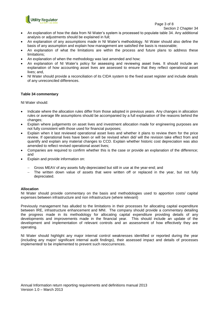

Page 3 of 8

Section 2 Chapter 34

- An explanation of how the data from NI Water's system is processed to populate table 34. Any additional analysis or adjustments should be explained in full;
- An explanation of any assumptions made in NI Water's methodology. NI Water should also define the basis of any assumption and explain how management are satisfied the basis is reasonable;
- An explanation of what the limitations are within the process and future plans to address these limitations;
- An explanation of when the methodology was last amended and how;
- An explanation of NI Water's policy for assessing and reviewing asset lives. It should include an explanation of how accounting asset lives are assessed to ensure that they reflect operational asset lives; and,
- NI Water should provide a reconciliation of its CIDA system to the fixed asset register and include details of any unreconciled differences.

#### **Table 34 commentary**

NI Water should:

- Indicate where the allocation rules differ from those adopted in previous years. Any changes in allocation rules or average life assumptions should be accompanied by a full explanation of the reasons behind the changes;
- Explain where judgements on asset lives and investment allocation made for engineering purposes are not fully consistent with those used for financial purposes;
- Explain when it last reviewed operational asset lives and whether it plans to review them for the price review. If operational lives have been or will be revised when did/ will the revision take effect from and quantify and explain any material changes to CCD. Explain whether historic cost depreciation was also amended to reflect revised operational asset lives;
- Companies are required to confirm whether this is the case or provide an explanation of the difference; and
- Explain and provide information on:
	- Gross MEAV of any assets fully depreciated but still in use at the year-end; and
	- The written down value of assets that were written off or replaced in the year, but not fully depreciated.

#### **Allocation**

NI Water should provide commentary on the basis and methodologies used to apportion costs/ capital expenses between infrastructure and non infrastructure (where relevant)

Previously management has alluded to the limitations in their processes for allocating capital expenditure between IRE, infrastructure enhancement and MNI. The company should provide a commentary detailing the progress made in its methodology for allocating capital expenditure providing details of any developments and improvements made in the financial year. This should include an update of the development and implementation of relevant controls and an assessment of how effectively they are operating.

NI Water should highlight any major internal control weaknesses identified or reported during the year (including any major/ significant internal audit findings), their assessed impact and details of processes implemented/ to be implemented to prevent such reoccurrences.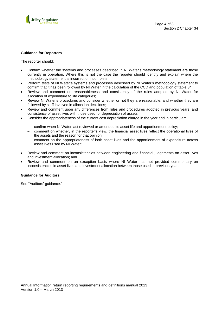

#### **Guidance for Reporters**

The reporter should:

- Confirm whether the systems and processes described in NI Water's methodology statement are those currently in operation. Where this is not the case the reporter should identify and explain where the methodology statement is incorrect or incomplete;
- Perform tests of NI Water's systems and processes described by NI Water's methodology statement to confirm that it has been followed by NI Water in the calculation of the CCD and population of table 34;
- Review and comment on reasonableness and consistency of the rules adopted by NI Water for allocation of expenditure to life categories;
- Review NI Water's procedures and consider whether or not they are reasonable, and whether they are followed by staff involved in allocation decisions;
- Review and comment upon any differences from rules and procedures adopted in previous years, and consistency of asset lives with those used for depreciation of assets;
- Consider the appropriateness of the current cost depreciation charge in the year and in particular:
	- confirm when NI Water last reviewed or amended its asset life and apportionment policy;
	- comment on whether, in the reporter's view, the financial asset lives reflect the operational lives of the assets and the reason for that opinion;
	- comment on the appropriateness of both asset lives and the apportionment of expenditure across asset lives used by NI Water;
- Review and comment on inconsistencies between engineering and financial judgements on asset lives and investment allocation; and
- Review and comment on an exception basis where NI Water has not provided commentary on inconsistencies in asset lives and investment allocation between those used in previous years.

#### **Guidance for Auditors**

See "Auditors' guidance."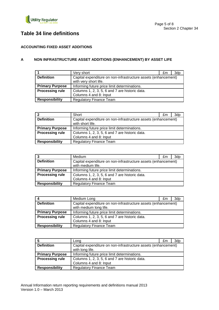

## **Table 34 line definitions**

### **ACCOUNTING FIXED ASSET ADDITIONS**

## **A NON INFRASTRUCTURE ASSET ADDITIONS (ENHANCEMENT) BY ASSET LIFE**

|                        | Very short                                                                              | £m | 3d <sub>p</sub> |
|------------------------|-----------------------------------------------------------------------------------------|----|-----------------|
| <b>Definition</b>      | Capital expenditure on non-infrastructure assets (enhancement)<br>with very short life. |    |                 |
| <b>Primary Purpose</b> | Informing future price limit determinations.                                            |    |                 |
| <b>Processing rule</b> | Columns 1, 2, 3, 5, 6 and 7 are historic data.                                          |    |                 |
|                        | Columns 4 and 8: Input                                                                  |    |                 |
| <b>Responsibility</b>  | <b>Regulatory Finance Team</b>                                                          |    |                 |

|                        | Short                                                                              | £m | 3dp |
|------------------------|------------------------------------------------------------------------------------|----|-----|
| <b>Definition</b>      | Capital expenditure on non-infrastructure assets (enhancement)<br>with short life. |    |     |
| <b>Primary Purpose</b> | Informing future price limit determinations.                                       |    |     |
| <b>Processing rule</b> | Columns 1, 2, 3, 5, 6 and 7 are historic data.                                     |    |     |
|                        | Columns 4 and 8: Input                                                             |    |     |
| <b>Responsibility</b>  | <b>Regulatory Finance Team</b>                                                     |    |     |

| 3                      | <b>Medium</b>                                                                       | £m | 3dp |
|------------------------|-------------------------------------------------------------------------------------|----|-----|
| <b>Definition</b>      | Capital expenditure on non-infrastructure assets (enhancement)<br>with medium life. |    |     |
| <b>Primary Purpose</b> | Informing future price limit determinations.                                        |    |     |
| <b>Processing rule</b> | Columns 1, 2, 3, 5, 6 and 7 are historic data.                                      |    |     |
|                        | Columns 4 and 8: Input                                                              |    |     |
| <b>Responsibility</b>  | <b>Regulatory Finance Team</b>                                                      |    |     |

| 4                      | Medium Long                                                                              | £m | 3dp |
|------------------------|------------------------------------------------------------------------------------------|----|-----|
| <b>Definition</b>      | Capital expenditure on non-infrastructure assets (enhancement)<br>with medium long life. |    |     |
| <b>Primary Purpose</b> | Informing future price limit determinations.                                             |    |     |
| <b>Processing rule</b> | Columns 1, 2, 3, 5, 6 and 7 are historic data.                                           |    |     |
|                        | Columns 4 and 8: Input                                                                   |    |     |
| <b>Responsibility</b>  | <b>Regulatory Finance Team</b>                                                           |    |     |

| 5                      | Long                                                                              | £m | 3dp |
|------------------------|-----------------------------------------------------------------------------------|----|-----|
| <b>Definition</b>      | Capital expenditure on non-infrastructure assets (enhancement)<br>with long life. |    |     |
|                        |                                                                                   |    |     |
| <b>Primary Purpose</b> | Informing future price limit determinations.                                      |    |     |
| <b>Processing rule</b> | Columns 1, 2, 3, 5, 6 and 7 are historic data.                                    |    |     |
|                        | Columns 4 and 8: Input                                                            |    |     |
| <b>Responsibility</b>  | <b>Regulatory Finance Team</b>                                                    |    |     |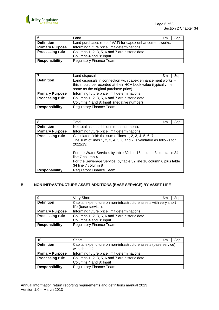

| - 6                    | Land                                                     | £m | 3dp |
|------------------------|----------------------------------------------------------|----|-----|
| <b>Definition</b>      | Land purchases (net of VAT) for capex enhancement works. |    |     |
| <b>Primary Purpose</b> | Informing future price limit determinations.             |    |     |
| <b>Processing rule</b> | Columns 1, 2, 3, 5, 6 and 7 are historic data.           |    |     |
|                        | Columns 4 and 8: Input                                   |    |     |
| <b>Responsibility</b>  | <b>Regulatory Finance Team</b>                           |    |     |

|                        | Land disposal                                                                                                                                                          | £m | 3dp |
|------------------------|------------------------------------------------------------------------------------------------------------------------------------------------------------------------|----|-----|
| <b>Definition</b>      | Land disposals in connection with capex enhancement works -<br>this should be recorded at their HCA book value (typically the<br>same as the original purchase price). |    |     |
| <b>Primary Purpose</b> | Informing future price limit determinations.                                                                                                                           |    |     |
| <b>Processing rule</b> | Columns 1, 2, 3, 5, 6 and 7 are historic data.<br>Columns 4 and 8: Input (negative number)                                                                             |    |     |
|                        |                                                                                                                                                                        |    |     |
| <b>Responsibility</b>  | <b>Regulatory Finance Team</b>                                                                                                                                         |    |     |

| 8                      | Total                                                                                                                                                                           | £m | 3dp |
|------------------------|---------------------------------------------------------------------------------------------------------------------------------------------------------------------------------|----|-----|
| <b>Definition</b>      | Net total asset additions (enhancement).                                                                                                                                        |    |     |
| <b>Primary Purpose</b> | Informing future price limit determinations.                                                                                                                                    |    |     |
| <b>Processing rule</b> | Calculated field: the sum of lines 1, 2, 3, 4, 5, 6, 7.<br>The sum of lines 1, 2, 3, 4, 5, 6 and 7 is validated as follows for<br>2012/13:                                      |    |     |
|                        | For the Water Service, by table 32 line 16 column 3 plus table 34<br>line 7 column 4<br>For the Sewerage Service, by table 32 line 16 column 6 plus table<br>34 line 7 column 8 |    |     |
| <b>Responsibility</b>  | <b>Regulatory Finance Team</b>                                                                                                                                                  |    |     |

## **B NON INFRASTRUCTURE ASSET ADDITIONS (BASE SERVICE) BY ASSET LIFE**

| - 9                    | Very Short                                                                               | £m | 3dp |
|------------------------|------------------------------------------------------------------------------------------|----|-----|
| <b>Definition</b>      | Capital expenditure on non-infrastructure assets with very short<br>life (base service). |    |     |
| <b>Primary Purpose</b> | Informing future price limit determinations.                                             |    |     |
| <b>Processing rule</b> | Columns 1, 2, 3, 5, 6 and 7 are historic data.                                           |    |     |
|                        | Columns 4 and 8: Input                                                                   |    |     |
| <b>Responsibility</b>  | <b>Regulatory Finance Team</b>                                                           |    |     |

| 10                     | Short                                                                               | £m | 3dp |
|------------------------|-------------------------------------------------------------------------------------|----|-----|
| <b>Definition</b>      | Capital expenditure on non-infrastructure assets (base service)<br>with short life. |    |     |
| <b>Primary Purpose</b> | Informing future price limit determinations.                                        |    |     |
| <b>Processing rule</b> | Columns 1, 2, 3, 5, 6 and 7 are historic data.                                      |    |     |
|                        | Columns 4 and 8: Input                                                              |    |     |
| <b>Responsibility</b>  | <b>Regulatory Finance Team</b>                                                      |    |     |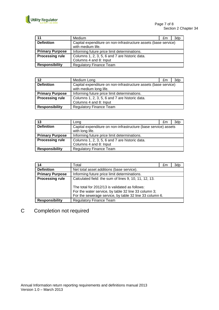

| 11                     | <b>Medium</b>                                                   | £m | 3dp |
|------------------------|-----------------------------------------------------------------|----|-----|
| <b>Definition</b>      | Capital expenditure on non-infrastructure assets (base service) |    |     |
|                        | with medium life.                                               |    |     |
| <b>Primary Purpose</b> | Informing future price limit determinations.                    |    |     |
| <b>Processing rule</b> | Columns 1, 2, 3, 5, 6 and 7 are historic data.                  |    |     |
|                        | Columns 4 and 8: Input                                          |    |     |
| <b>Responsibility</b>  | <b>Regulatory Finance Team</b>                                  |    |     |

| 12                     | Medium Long                                                                               | £m | 3dp |
|------------------------|-------------------------------------------------------------------------------------------|----|-----|
| <b>Definition</b>      | Capital expenditure on non-infrastructure assets (base service)<br>with medium long life. |    |     |
| <b>Primary Purpose</b> | Informing future price limit determinations.                                              |    |     |
| <b>Processing rule</b> | Columns 1, 2, 3, 5, 6 and 7 are historic data.                                            |    |     |
|                        | Columns 4 and 8: Input                                                                    |    |     |
| <b>Responsibility</b>  | <b>Regulatory Finance Team</b>                                                            |    |     |

| 13                     | Long                                                                               | £m | 3dp |
|------------------------|------------------------------------------------------------------------------------|----|-----|
| <b>Definition</b>      | Capital expenditure on non-infrastructure (base service) assets<br>with long life. |    |     |
| <b>Primary Purpose</b> | Informing future price limit determinations.                                       |    |     |
| <b>Processing rule</b> | Columns 1, 2, 3, 5, 6 and 7 are historic data.                                     |    |     |
|                        | Columns 4 and 8: Input                                                             |    |     |
| <b>Responsibility</b>  | <b>Regulatory Finance Team</b>                                                     |    |     |

| 14                     | Total                                                                                                                                                             | £m | 3dp |
|------------------------|-------------------------------------------------------------------------------------------------------------------------------------------------------------------|----|-----|
| <b>Definition</b>      | Net total asset additions (base service).                                                                                                                         |    |     |
| <b>Primary Purpose</b> | Informing future price limit determinations.                                                                                                                      |    |     |
| <b>Processing rule</b> | Calculated field: the sum of lines 9, 10, 11, 12, 13.                                                                                                             |    |     |
|                        | The total for 2012/13 is validated as follows:<br>For the water service, by table 32 line 33 column 3;<br>For the sewerage service, by table 32 line 33 column 6. |    |     |
| <b>Responsibility</b>  | <b>Regulatory Finance Team</b>                                                                                                                                    |    |     |

# C Completion not required